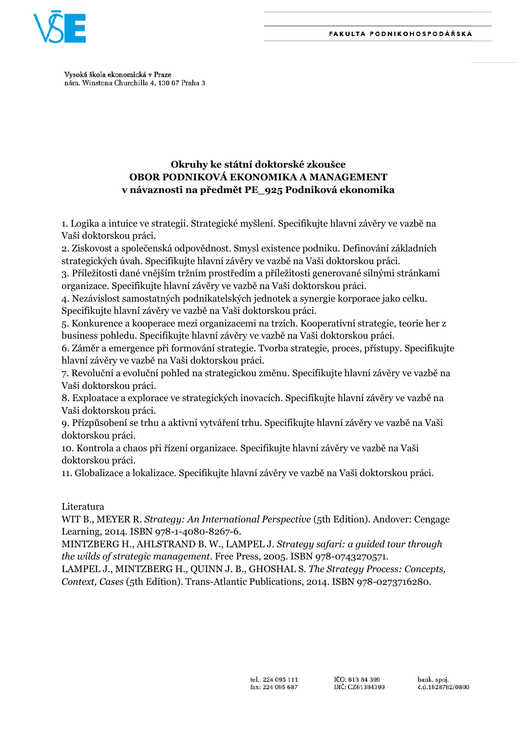

Vysoká škola ekonomická v Praze nám. Winstona Churchilla 4, 130 67 Praha 3

# **Okruhy ke státní doktorské zkoušce OBOR PODNIKOVÁ EKONOMIKA A MANAGEMENT v návaznosti na předmět PE\_925 Podniková ekonomika**

1. Logika a intuice ve strategii. Strategické myšlení. Specifikujte hlavní závěry ve vazbě na Vaši doktorskou práci.

2. Ziskovost a společenská odpovědnost. Smysl existence podniku. Definování základních strategických úvah. Specifikujte hlavní závěry ve vazbě na Vaši doktorskou práci.

3. Příležitosti dané vnějším tržním prostředím a příležitosti generované silnými stránkami organizace. Specifikujte hlavní závěry ve vazbě na Vaši doktorskou práci.

4. Nezávislost samostatných podnikatelských jednotek a synergie korporace jako celku. Specifikujte hlavní závěry ve vazbě na Vaši doktorskou práci.

5. Konkurence a kooperace mezi organizacemi na trzích. Kooperativní strategie, teorie her z business pohledu. Specifikujte hlavní závěry ve vazbě na Vaši doktorskou práci.

6. Záměr a emergence při formování strategie. Tvorba strategie, proces, přístupy. Specifikujte hlavní závěry ve vazbě na Vaši doktorskou práci.

7. Revoluční a evoluční pohled na strategickou změnu. Specifikujte hlavní závěry ve vazbě na Vaši doktorskou práci.

8. Exploatace a explorace ve strategických inovacích. Specifikujte hlavní závěry ve vazbě na Vaši doktorskou práci.

9. Přizpůsobení se trhu a aktivní vytváření trhu. Specifikujte hlavní závěry ve vazbě na Vaši doktorskou práci.

10. Kontrola a chaos při řízení organizace. Specifikujte hlavní závěry ve vazbě na Vaši doktorskou práci.

11. Globalizace a lokalizace. Specifikujte hlavní závěry ve vazbě na Vaši doktorskou práci.

### Literatura

WIT B., MEYER R. *Strategy: An International Perspective* (5th Edition). Andover: Cengage Learning, 2014. ISBN 978-1-4080-8267-6.

MINTZBERG H., AHLSTRAND B. W., LAMPEL J. *Strategy safari: a guided tour through the wilds of strategic management*. Free Press, 2005. ISBN 978-0743270571.

LAMPEL J., MINTZBERG H., QUINN J. B., GHOSHAL S. *The Strategy Process: Concepts, Context, Cases* (5th Edition). Trans-Atlantic Publications, 2014. ISBN 978-0273716280.

bank. spoj. č.ú.1828782/0800